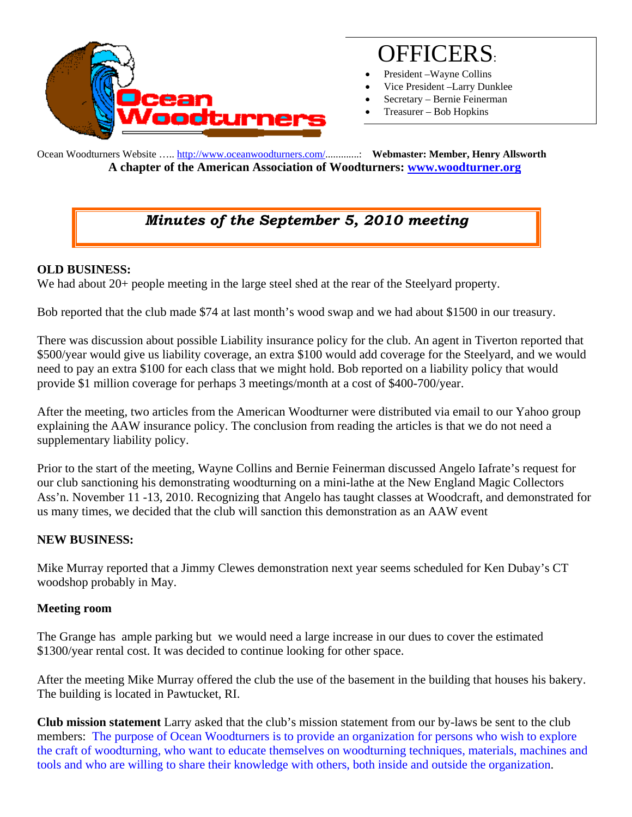

# OFFICERS:

- President Wayne Collins
- Vice President –Larry Dunklee
- Secretary Bernie Feinerman
- Treasurer Bob Hopkins

Ocean Woodturners Website ….. http://www.oceanwoodturners.com/.............: **Webmaster: Member, Henry Allsworth A chapter of the American Association of Woodturners: www.woodturner.org** 

## *Minutes of the September 5, 2010 meeting*

#### **OLD BUSINESS:**

We had about 20+ people meeting in the large steel shed at the rear of the Steelyard property.

Bob reported that the club made \$74 at last month's wood swap and we had about \$1500 in our treasury.

There was discussion about possible Liability insurance policy for the club. An agent in Tiverton reported that \$500/year would give us liability coverage, an extra \$100 would add coverage for the Steelyard, and we would need to pay an extra \$100 for each class that we might hold. Bob reported on a liability policy that would provide \$1 million coverage for perhaps 3 meetings/month at a cost of \$400-700/year.

After the meeting, two articles from the American Woodturner were distributed via email to our Yahoo group explaining the AAW insurance policy. The conclusion from reading the articles is that we do not need a supplementary liability policy.

Prior to the start of the meeting, Wayne Collins and Bernie Feinerman discussed Angelo Iafrate's request for our club sanctioning his demonstrating woodturning on a mini-lathe at the New England Magic Collectors Ass'n. November 11 -13, 2010. Recognizing that Angelo has taught classes at Woodcraft, and demonstrated for us many times, we decided that the club will sanction this demonstration as an AAW event

### **NEW BUSINESS:**

Mike Murray reported that a Jimmy Clewes demonstration next year seems scheduled for Ken Dubay's CT woodshop probably in May.

#### **Meeting room**

The Grange has ample parking but we would need a large increase in our dues to cover the estimated \$1300/year rental cost. It was decided to continue looking for other space.

After the meeting Mike Murray offered the club the use of the basement in the building that houses his bakery. The building is located in Pawtucket, RI.

**Club mission statement** Larry asked that the club's mission statement from our by-laws be sent to the club members: The purpose of Ocean Woodturners is to provide an organization for persons who wish to explore the craft of woodturning, who want to educate themselves on woodturning techniques, materials, machines and tools and who are willing to share their knowledge with others, both inside and outside the organization.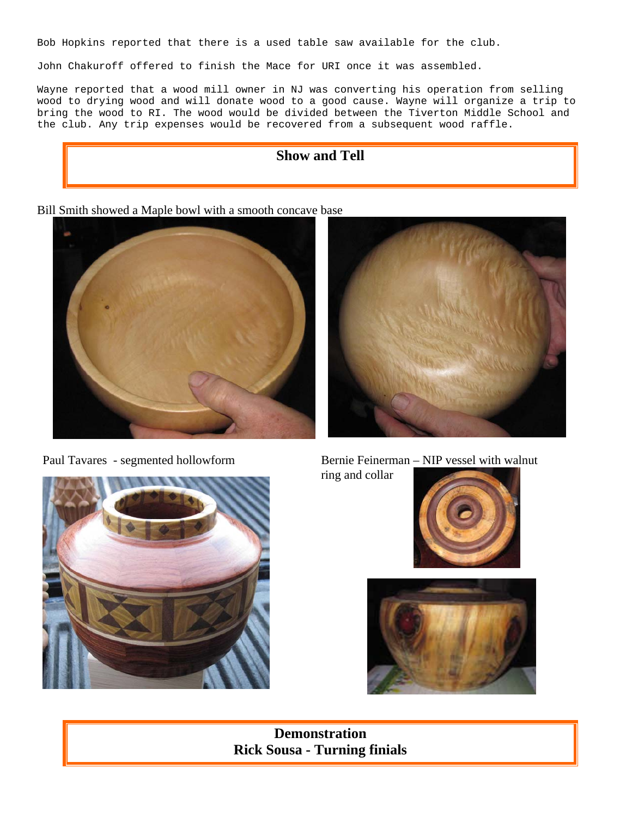Bob Hopkins reported that there is a used table saw available for the club.

John Chakuroff offered to finish the Mace for URI once it was assembled.

Wayne reported that a wood mill owner in NJ was converting his operation from selling wood to drying wood and will donate wood to a good cause. Wayne will organize a trip to bring the wood to RI. The wood would be divided between the Tiverton Middle School and the club. Any trip expenses would be recovered from a subsequent wood raffle.



Bill Smith showed a Maple bowl with a smooth concave base





Paul Tavares - segmented hollowform Bernie Feinerman – NIP vessel with walnut ring and collar







**Demonstration Rick Sousa - Turning finials**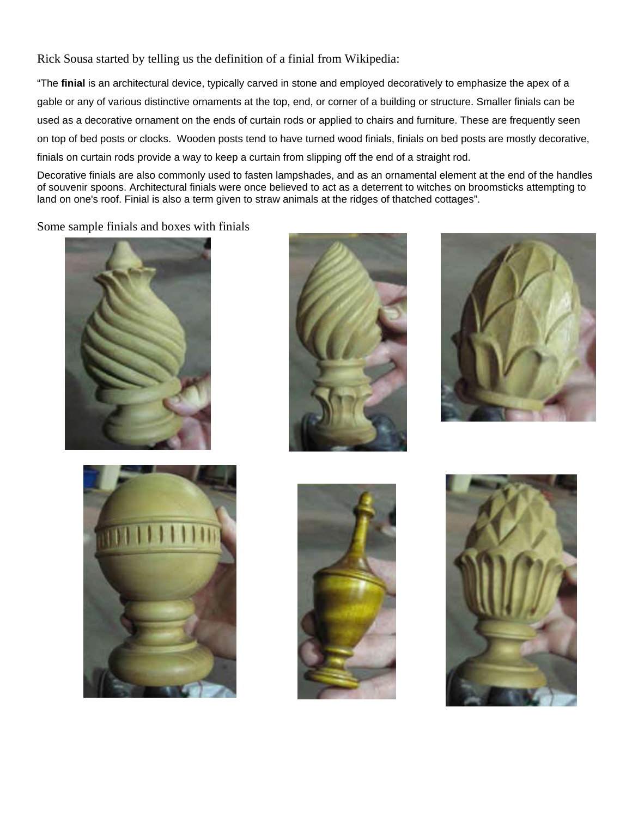Rick Sousa started by telling us the definition of a finial from Wikipedia:

"The **finial** is an architectural device, typically carved in stone and employed decoratively to emphasize the apex of a gable or any of various distinctive ornaments at the top, end, or corner of a building or structure. Smaller finials can be used as a decorative ornament on the ends of curtain rods or applied to chairs and furniture. These are frequently seen on top of bed posts or clocks. Wooden posts tend to have turned wood finials, finials on bed posts are mostly decorative, finials on curtain rods provide a way to keep a curtain from slipping off the end of a straight rod.

Decorative finials are also commonly used to fasten lampshades, and as an ornamental element at the end of the handles of souvenir spoons. Architectural finials were once believed to act as a deterrent to witches on broomsticks attempting to land on one's roof. Finial is also a term given to straw animals at the ridges of thatched cottages".

Some sample finials and boxes with finials











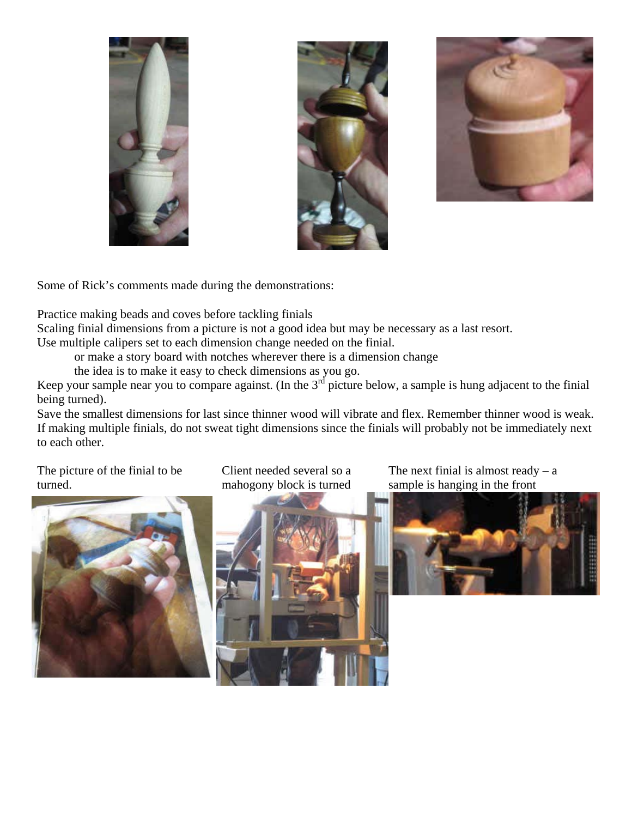





Some of Rick's comments made during the demonstrations:

Practice making beads and coves before tackling finials

Scaling finial dimensions from a picture is not a good idea but may be necessary as a last resort.

Use multiple calipers set to each dimension change needed on the finial.

or make a story board with notches wherever there is a dimension change

the idea is to make it easy to check dimensions as you go.

Keep your sample near you to compare against. (In the  $3<sup>rd</sup>$  picture below, a sample is hung adjacent to the finial being turned).

Save the smallest dimensions for last since thinner wood will vibrate and flex. Remember thinner wood is weak. If making multiple finials, do not sweat tight dimensions since the finials will probably not be immediately next to each other.

The picture of the finial to be turned.



Client needed several so a mahogony block is turned



The next finial is almost ready  $- a$ sample is hanging in the front